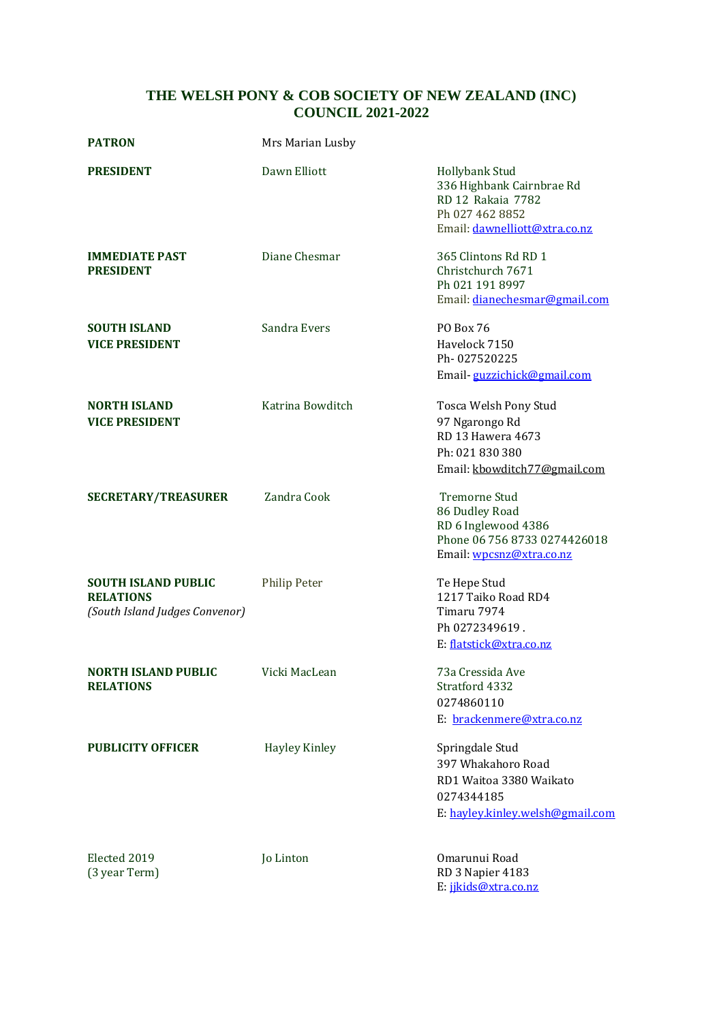## **THE WELSH PONY & COB SOCIETY OF NEW ZEALAND (INC) COUNCIL 2021-2022**

| <b>PATRON</b>                                                                    | Mrs Marian Lusby     |                                                                                                                             |
|----------------------------------------------------------------------------------|----------------------|-----------------------------------------------------------------------------------------------------------------------------|
| <b>PRESIDENT</b>                                                                 | Dawn Elliott         | <b>Hollybank Stud</b><br>336 Highbank Cairnbrae Rd<br>RD 12 Rakaia 7782<br>Ph 027 462 8852<br>Email: dawnelliott@xtra.co.nz |
| <b>IMMEDIATE PAST</b><br><b>PRESIDENT</b>                                        | Diane Chesmar        | 365 Clintons Rd RD 1<br>Christchurch 7671<br>Ph 021 191 8997<br>Email: dianechesmar@gmail.com                               |
| <b>SOUTH ISLAND</b><br><b>VICE PRESIDENT</b>                                     | Sandra Evers         | PO Box 76<br>Havelock 7150<br>Ph-027520225<br>Email-guzzichick@gmail.com                                                    |
| <b>NORTH ISLAND</b><br><b>VICE PRESIDENT</b>                                     | Katrina Bowditch     | Tosca Welsh Pony Stud<br>97 Ngarongo Rd<br>RD 13 Hawera 4673<br>Ph: 021 830 380<br>Email: kbowditch77@gmail.com             |
| <b>SECRETARY/TREASURER</b>                                                       | Zandra Cook          | <b>Tremorne Stud</b><br>86 Dudley Road<br>RD 6 Inglewood 4386<br>Phone 06 756 8733 0274426018<br>Email: wpcsnz@xtra.co.nz   |
| <b>SOUTH ISLAND PUBLIC</b><br><b>RELATIONS</b><br>(South Island Judges Convenor) | <b>Philip Peter</b>  | Te Hepe Stud<br>1217 Taiko Road RD4<br>Timaru 7974<br>Ph 0272349619.<br>E: flatstick@xtra.co.nz                             |
| NORTH ISLAND PUBLIC<br><b>RELATIONS</b>                                          | Vicki MacLean        | 73a Cressida Ave<br>Stratford 4332<br>0274860110<br>E: brackenmere@xtra.co.nz                                               |
| <b>PUBLICITY OFFICER</b>                                                         | <b>Hayley Kinley</b> | Springdale Stud<br>397 Whakahoro Road<br>RD1 Waitoa 3380 Waikato<br>0274344185<br>E: hayley.kinley.welsh@gmail.com          |
| Elected 2019<br>(3 year Term)                                                    | Jo Linton            | Omarunui Road<br>RD 3 Napier 4183<br>E: jikids@xtra.co.nz                                                                   |